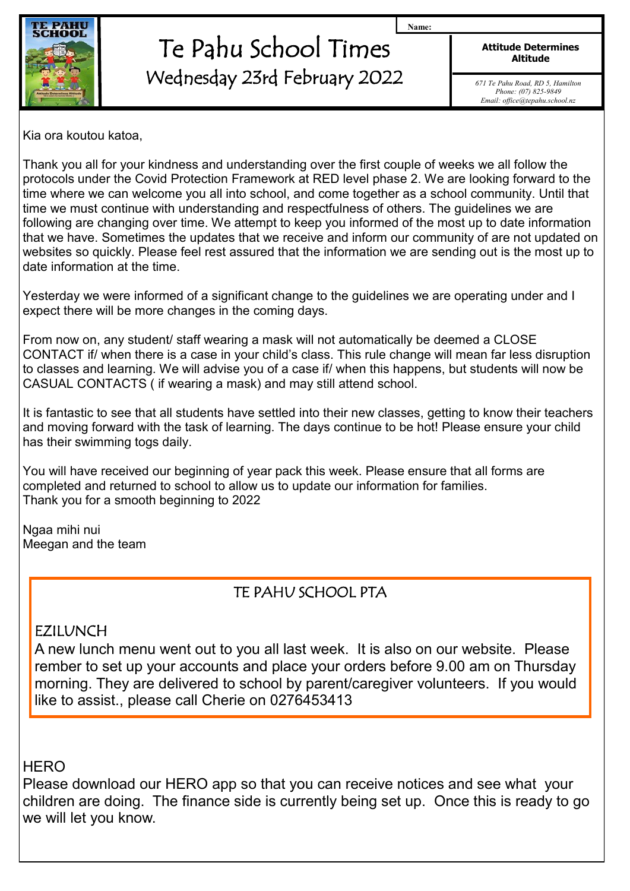

## Te Pahu School Times Wednesday 23rd February 2022

**Attitude Determines Altitude**

**Name:**

*671 Te Pahu Road, RD 5, Hamilton Phone: (07) 825-9849 Email: office@tepahu.school.nz*

Kia ora koutou katoa,

Thank you all for your kindness and understanding over the first couple of weeks we all follow the protocols under the Covid Protection Framework at RED level phase 2. We are looking forward to the time where we can welcome you all into school, and come together as a school community. Until that time we must continue with understanding and respectfulness of others. The guidelines we are following are changing over time. We attempt to keep you informed of the most up to date information that we have. Sometimes the updates that we receive and inform our community of are not updated on websites so quickly. Please feel rest assured that the information we are sending out is the most up to date information at the time.

Yesterday we were informed of a significant change to the guidelines we are operating under and I expect there will be more changes in the coming days.

From now on, any student/ staff wearing a mask will not automatically be deemed a CLOSE CONTACT if/ when there is a case in your child's class. This rule change will mean far less disruption to classes and learning. We will advise you of a case if/ when this happens, but students will now be CASUAL CONTACTS ( if wearing a mask) and may still attend school.

It is fantastic to see that all students have settled into their new classes, getting to know their teachers and moving forward with the task of learning. The days continue to be hot! Please ensure your child has their swimming togs daily.

You will have received our beginning of year pack this week. Please ensure that all forms are completed and returned to school to allow us to update our information for families. Thank you for a smooth beginning to 2022

Ngaa mihi nui Meegan and the team

## TE PAHU SCHOOL PTA

## EZILUNCH

A new lunch menu went out to you all last week. It is also on our website. Please rember to set up your accounts and place your orders before 9.00 am on Thursday morning. They are delivered to school by parent/caregiver volunteers. If you would like to assist., please call Cherie on 0276453413

**HERO** 

Please download our HERO app so that you can receive notices and see what your children are doing. The finance side is currently being set up. Once this is ready to go we will let you know.